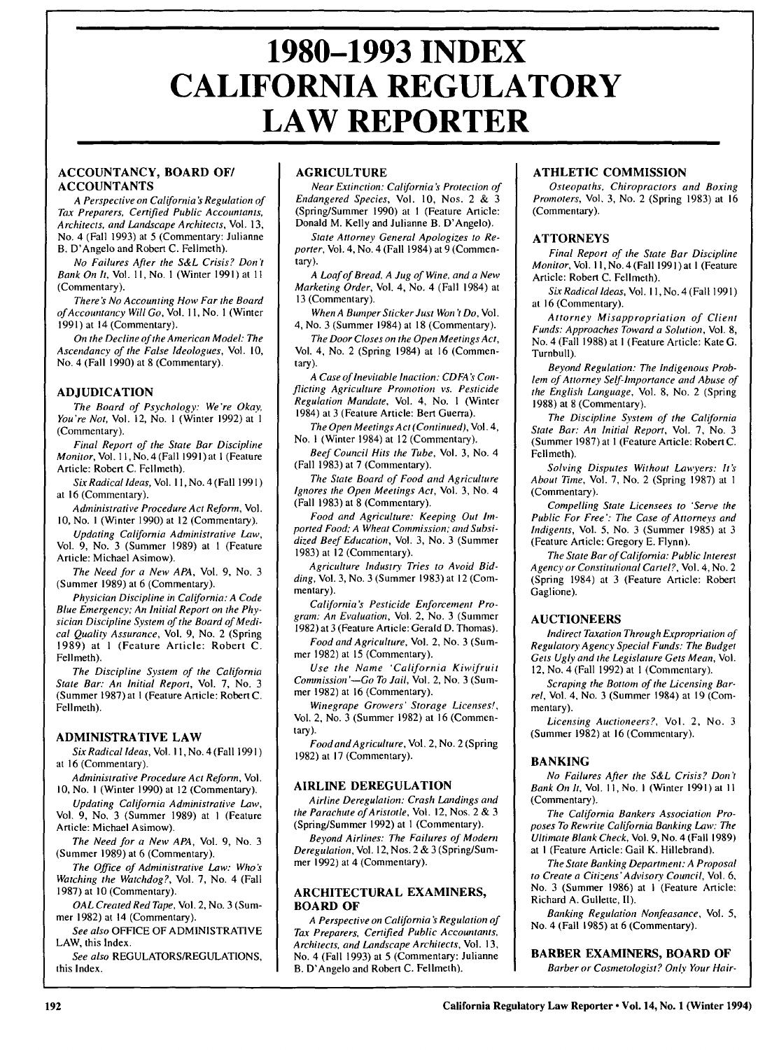# **1980-1993 INDEX CALIFORNIA REGULATORY LAW REPORTER**

# **ACCOUNTANCY, BOARD OF/ ACCOUNTANTS**

A Perspective on California's Regulation of Tax *Preparers, Certified* Public Accountants, Architects, and Landscape Architects, Vol. 13, No. 4 (Fall 1993) at 5 (Commentary: Julianne B. D'Angelo and Robert C. Fellmeth).

No Failures After the S&L Crisis? Don't Bank On It, Vol. **1I,** No. **I** (Winter 1991) at **II** (Commentary).

There's No Accounting How Far the Board *ofAccountancy* Will Go, Vol. **11,** No. **I** (Winter 1991) at 14 (Commentary).

On the Decline of the American Model: The Ascendancy of the False Ideologues, Vol. 10, No. 4 (Fall 1990) at 8 (Commentary).

# **ADJUDICATION**

The Board of Psychology: We're Okay, You're Not, Vol. 12, No. **I** (Winter 1992) at **I** (Commentary).

Final Report of the State Bar Discipline Monitor, Vol.1 **,** No. 4 (Fall 1991) at I (Feature Article: Robert C. Fellmeth).

Six Radical *Ideas,* Vol. **11,** No. 4 (Fall 199 **1)** at 16 (Commentary).

Administrative Procedure Act Reform, Vol. **10,** No. **I** (Winter 1990) at 12 (Commentary).

Updating California Administrative Law, Vol. 9, No. 3 (Summer 1989) at **I** (Feature Article: Michael Asimow).

The Need for a New APA, Vol. 9, No. 3 (Summer 1989) at 6 (Commentary).

Physician Discipline in California: A Code Blue Emergency; An Initial Report on the Physician Discipline System of the Board of Medical Quality Assurance, Vol. 9, No. 2 (Spring 1989) at **I** (Feature Article: Robert C. Fellmeth).

*The* Discipline *System* of the California State Bar: An *Initial* Report, Vol. 7, No. 3 (Summer 1987) at I (Feature Article: Robert C. Fellmeth).

# ADMINISTRATIVE LAW

Six Radical *Ideas,* Vol. **I1,** No. 4 (Fall 199 **1)** at 16 (Commentary).

Administrative Procedure Act Reform, Vol. 10, No. **I** (Winter 1990) at 12 (Commentary).

Updating California Administrative Law, Vol. 9, *No.* 3 (Summer 1989) at I (Feature Article: Michael Asimow).

The Need for a New APA, Vol. 9, No. 3 (Summer 1989) at 6 (Commentary).

The Office of Administrative Law: Who's Watching the Watchdog?, Vol. 7, No. 4 (Fall 1987) at 10 (Commentary).

OAL Created Red Tape, Vol. 2, No. 3 (Summer 1982) at 14 (Commentary).

See also OFFICE OF ADMINISTRATIVE LAW, this Index.

See also REGULATORS/REGULATIONS, this Index.

# **AGRICULTURE**

Near Extinction: California *'s* Protection of Endangered Species, Vol. 10, Nos. 2 & 3 (Spring/Summer 1990) at **I** (Feature Article: Donald M. Kelly and Julianne B. D'Angelo).

State Attorney General Apologizes to Reporter, Vol. 4, No. 4 (Fall 1984) at  $9$  (Commentary).

A Loaf of Bread, A Jug of Wine, and a New Marketing Order, Vol. 4, No. 4 (Fall 1984) at 13 (Commentary).

When A Bumper Sticker Just Won't Do, Vol. 4, No. 3 (Summer 1984) at 18 (Commentary).

The Door Closes on the Open Meetings Act, Vol. 4, No. 2 (Spring 1984) at 16 (Commentary).

A Case of *Inevitable Inaction: CDFA's Con*flicting Agriculture Promotion vs. Pesticide Regulation Mandate, Vol. 4, No. **I** (Winter 1984) at 3 (Feature Article: Bert Guerra).

The Open Meetings Act (Continued), Vol. 4, No. I (Winter 1984) at 12 (Commentary).

Beef Council Hits the Tube, Vol. 3, No. 4 (Fall 1983) at 7 (Commentary).

The State Board of Food and Agriculture Ignores the Open Meetings Act, Vol. 3, No. 4 (Fall 1983) at 8 (Commentary).

Food and Agriculture: Keeping Out *hn*ported Food; A Wheat Commission; and Subsidized Beef Education, Vol. 3, No. 3 (Summer 1983) at 12 (Commentary).

Agriculture Industry Tries to Avoid Bidding, Vol. 3, No. 3 (Summer 1983) at 12 (Commentary).

California's Pesticide Enforcement Program: An Evaluation, Vol. 2, No. 3 (Summer 1982) at 3 (Feature Article: Gerald D. Thomas).

Food and Agriculture, Vol. 2, No. 3 (Summer 1982) at 15 (Commentary).

Use the Name 'California Kiwifruit Commission *'-Go* To Jail, Vol. 2, No. 3 (Summer 1982) at 16 (Commentary).

Winegrape Growers' Storage Licenses!, Vol. 2, No. 3 (Summer 1982) at 16 (Commentary).

Food and Agriculture, Vol. 2, No. 2 (Spring 1982) at 17 (Commentary).

#### **AIRLINE DEREGULATION**

Airline Deregulation: Crash Landings and the Parachute of Aristotle, Vol. 12, Nos. 2 & 3 (Spring/Summer 1992) at **I** (Commentary).

Beyond Airlines: The Failures of Modern Deregulation, Vol. 12, Nos. 2 & 3 (Spring/Summer 1992) at 4 (Commentary).

# **ARCHITECTURAL EXAMINERS, BOARD OF**

A Perspective on California *s* Regulation of Tax Preparers, Certified Public Accountants, Architects, and Landscape Architects, Vol. 13, No. 4 (Fall 1993) at 5 (Commentary: Julianne B. D'Angelo and Robert C. Fellmeth).

# **ATHLETIC COMMISSION**

Osteopaths, Chiropractors and Boxing Promoters, Vol. 3, No. 2 (Spring 1983) at 16 (Commentary).

# ATTORNEYS

Final Report of the State Bar Discipline *Monitor, Vol. 11, No. 4 (Fall 1991) at 1 (Feature* Article: Robert C. Fellmeth).

Six Radical Ideas, Vol. **11,** No.4 (Fall 1991) at 16 (Commentary).

Attorney Misappropriation of Client Funds: Approaches Toward a Solution, Vol. **8,** No. 4 (Fall 1988) at **I** (Feature Article: Kate G. Turnbull).

Beyond Regulation: The Indigenous Problem of Attorney Self-Importance and Abuse of the English Language, Vol. 8, No. 2 (Spring 1988) at 8 (Commentary).

The Discipline System of the California State Bar: **An** *Initial* Report, Vol. 7, No. 3 (Summer 1987) at **I** (Feature Article: Robert C. Fellmeth).

Solving Disputes Without Lawyers: *it's* About Time, Vol. 7, No. 2 (Spring 1987) at **I** (Commentary).

Compelling State Licensees to 'Serve the Public For Free': The Case of Attorneys and Indigents, Vol. 5, No. 3 (Summer 1985) at 3 (Feature Article: Gregory E. Flynn).

The State Bar of California: Public Interest Agency or Constitutional Cartel?, Vol. 4, No. 2 (Spring 1984) at 3 (Feature Article: Robert Gaglione).

#### **AUCTIONEERS**

*Indirect* Taxation Through Expropriation of Regulatory, Agency Special Funds: The Budget Gets Ugly and the Legislature Gets Mean, Vol. 12, No. 4 (Fall 1992) at **I** (Commentary).

Scraping the Bottom of the Licensing Barrel, Vol. 4, No. 3 (Summer 1984) at 19 (Commentary).

Licensing Auctioneers?, Vol. 2, No. 3 (Summer 1982) at 16 (Commentary).

# **BANKING**

No Failures After the S&L Crisis? Don't *Bank* On It, Vol. II, No. I (Winter **1991)** at II (Commentary).

The California Bankers Association Proposes To Rewrite California Banking Law: The Ultimate Blank Check, Vol. **9,** No. 4 (Fall 1989) at I (Feature Article: Gail K. Hillebrand).

The State Banking Department: A Proposal to Create a Citizens *'Advisor,* Council, Vol. 6, No. 3 (Summer 1986) at I (Feature Article: Richard A. Gullette, II).

Banking Regulation Nonfeasance, Vol. 5, No. 4 (Fall 1985) at 6 (Commentary).

# **BARBER EXAMINERS, BOARD OF**

Barber or Cosmetologist? Only Your Hair-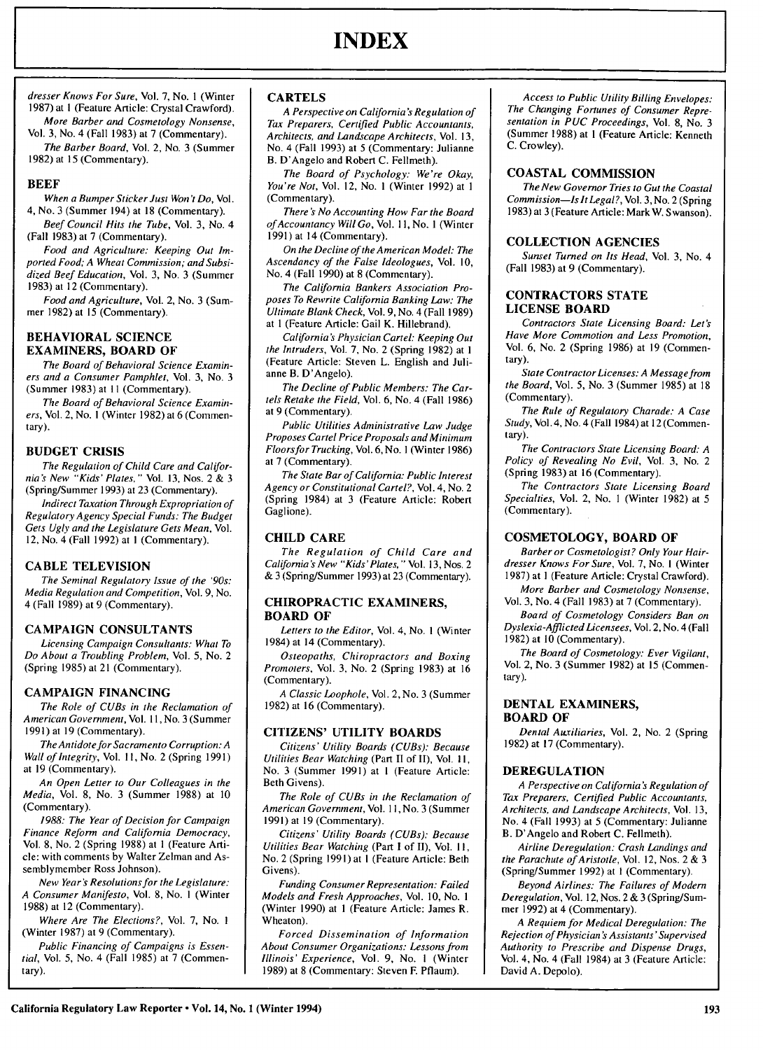dresser Knows For Sure, Vol. 7, No. **I** (Winter 1987) at **I** (Feature Article: Crystal Crawford). More Barber and Cosmetology Nonsense,

Vol. 3, No. 4 (Fall 1983) at 7 (Commentary). The Barber Board, Vol. 2, No. 3 (Summer 1982) at 15 (Commentary).

# **BEEF**

When a Bumper Sticker Just Won't *Do,* Vol. 4, No. 3 (Summer 194) at 18 (Commentary).

Beef Council Hits the Tube, Vol. 3, No. 4 (Fall **1983)** at 7 (Commentary).

Food and Agriculture: Keeping Out Imported Food; A Wheat Commission; and Subsidized Beef Education, Vol. 3, No. 3 (Summer 1983) at 12 (Commentary).

Food and Agriculture, Vol. 2, No. 3 (Summer 1982) at **15** (Commentary).

#### **BEHAVIORAL SCIENCE EXAMINERS, BOARD OF**

The Board of Behavioral Science Examiners and a Consumer Pamphlet, Vol. **3,** No. **3** (Summer **1983)** at **II** (Commentary).

The Board of Behavioral Science Examiners, Vol. 2, No. **I** (Winter **1982)** at 6 (Commentary).

# **BUDGET CRISIS**

The Regulation of Child Care and Califor**nia's** New "Kids'Plates," Vol. **13,** Nos. 2 **& 3** (Spring/Summer **1993)** at **23** (Commentary).

Indirect Taxation Through Expropriation of Regulatory Agency Special Funds: The Budget Gets **Ugly** and the Legislature Gets Mean, Vol. 12, No. 4 (Fall **1992)** at **I** (Commentary).

#### **CABLE TELEVISION**

The Seminal Regulatory Issue of the '90s: Media Regulation and Competition, Vol. **9,** No. 4 (Fall **1989)** at **9** (Commentary).

# **CAMPAIGN CONSULTANTS**

Licensing Campaign Consultants: What To Do About a Troubling Problem, Vol. 5, No. 2 (Spring 1985) at 21 (Commentary).

# **CAMPAIGN FINANCING**

The Role of CUBs in the Reclamation of American Government, Vol. **11,** No. **3** (Summer **1991)** at **19** (Commentary).

The Antidote for Sacramento Corruption: A Wall of Integrity, Vol. **11,** No. 2 (Spring **1991)** at **19** (Commentary).

An Open Letter to Our Colleagues in the Media, Vol. **8,** No. **3** (Summer **1988)** at **10** (Commentary).

**1988:** The Year of Decision for Campaign Finance Reform and California Democracy, Vol. **8,** No. 2 (Spring **1988)** at **I** (Feature Article: with comments **by** Walter Zelman and Assemblymember Ross Johnson).

New Year's Resolutions for the Legislature: A Consumer Manifesto, Vol. **8,** No. **I** (Winter **1988)** at 12 (Commentary).

Where Are The Elections?, Vol. **7,** No. **I** (Winter **1987)** at **9** (Commentary).

Public Financing of Campaigns is Essential, Vol. 5, No. 4 (Fall **1985)** at **7** (Commentary).

#### **CARTELS**

A Perspective on California *'s* Regulation of Tax Preparers, Certified Public Accountants, *Architects,* and Landscape Architects, Vol. **13,** No. 4 (Fall **1993)** at **5** (Commentary: Julianne B. D'Angelo and Robert **C.** Fellmeth).

The Board of Psychology: We're Okay, You're Not, Vol. 12, No. **I** (Winter **1992)** at **I** (Commentary).

There *'S* No Accounting How Far the Board *ofAccountancy* Will Go, Vol. **11,** No. **I** (Winter **1991)** at 14 (Commentary).

On the Decline of the American Model: The Ascendancy of the False Ideologues, Vol. **10,** No. 4 (Fall **1990)** at **8** (Commentary).

The California Bankers Association Proposes To Rewrite California Banking Law: *The* Ultimate Blank Check, Vol. **9,** No. 4 (Fall **1989)** at **I** (Feature Article: Gail K. Hillebrand).

California's Physician Cartel: Keeping Out the Intruders, Vol. **7,** No. 2 (Spring **1982)** at **I** (Feature Article: Steven L. English and Julianne B. D'Angelo).

The Decline of Public Members: The Cartels Retake the Field, Vol. 6, No. 4 (Fall **1986)** at **9** (Commentary).

Public Utilities Administrative Law Judge Proposes Cartel Price Proposals and Minimum Floorsfor Trucking, Vol. 6, No. **I** (Winter 1986) at **7** (Commentary).

The State Bar of California: Public Interest Agency or Constitutional Cartel?, Vol. 4, No. 2 (Spring 1984) at **3** (Feature Article: Robert Gaglione).

# **CHILD CARE**

The Regulation of Child Care and California *'S* New "Kids'Plates, **"** Vol. **13,** Nos. 2 **& 3** (Spring/Summer **1993)at 23** (Commentary).

#### **CHIROPRACTIC EXAMINERS, BOARD OF**

Letters to the Editor, Vol. 4, No. **I** (Winter 1984) at 14 (Commentary).

Osteopaths, Chiropractors and Boxing Promoters, Vol. **3,** No. 2 (Spring **1983)** at **16** (Commentary).

A Classic Loophole, Vol. 2, No. **3** (Summer **1982)** at **16** (Commentary).

#### **CITIZENS' UTILITY BOARDS**

Citizens' Utility Boards (CUBs): Because Utilities Bear Watching (Part II of II), Vol. **11,** No. 3 (Summer 1991) at **I** (Feature Article: Beth Givens).

The Role of CUBs in the Reclamation of American Government, Vol. **1I,** No. 3 (Summer 1991) at 19 (Commentary).

Citizens' Utility Boards (CUBs): Because Utilities Bear Watching (Part I of II), Vol. **1I,** No. 2 (Spring 1991) at I (Feature Article: Beth Givens).

Funding Consumer Representation: Failed Models and Fresh Approaches, Vol. 10, No. **I** (Winter 1990) at **I** (Feature Article: James R. Wheaton).

Forced Dissemination of Information About Consumer Organizations: Lessons from Illinois' Experience, Vol. 9, No. **I** (Winter 1989) at 8 (Commentary: Steven F. Pflaum).

Access to Public Utility Billing Envelopes: The Changing Fortunes of Consumer Representation in PUC Proceedings, Vol. 8, No. 3 (Summer **1988)** at **I** (Feature Article: Kenneth C. Crowley).

#### **COASTAL COMMISSION**

The New Governor Tries to Gut the Coastal Commission-Is It Legal?, Vol. 3, No. 2 (Spring 1983) at 3 (Feature Article: Mark W. Swanson).

#### **COLLECTION AGENCIES**

Sunset Turned on Its Head, Vol. 3, No. 4 (Fall 1983) at 9 (Commentary).

#### **CONTRACTORS STATE LICENSE BOARD**

Contractors State Licensing Board: Let's Have More Commotion and Less Promotion, Vol. **6,** No. 2 (Spring **1986)** at **19** (Commentary).

State Contractor Licenses: A Message from the Board, Vol. 5, No. 3 (Summer 1985) at 18 (Commentary).

The Rule of Regulatory Charade: A Case Study, Vol. 4, No. 4 (Fall 1984) at 12 (Commentary).

The Contractors State Licensing Board: A Policy of Revealing No Evil, Vol. 3, No. 2 (Spring 1983) at 16 (Commentary).

The Contractors State Licensing Board Specialties, Vol. 2, No. **I** (Winter 1982) at 5 (Commentary).

# **COSMETOLOGY, BOARD OF**

Barber or Cosmetologist? Only Your Hairdresser Knows For Sure, Vol. 7, No. **I** (Winter 1987) at **I** (Feature Article: Crystal Crawford).

More Barber and Cosmetology Nonsense, Vol. 3, No. 4 (Fall 1983) at 7 (Commentary).

Board of Cosmetology Considers Ban on Dyslexia-Afflicted Licensees, Vol. 2, No. 4 (Fall  $1982$ ) at  $10$  (Commentary).

The Board of Cosmetology: Ever Vigilant, Vol. 2, No. 3 (Summer 1982) at **15** (Commentary).

#### **DENTAL EXAMINERS, BOARD OF**

Dental Auxiliaries, Vol. 2, No. 2 (Spring 1982) at 17 (Commentary).

#### **DEREGULATION**

A Perspective on California *'s* Regulation of Tax Preparers, Certified Public Accountants, *Architects,* and Landscape Architects, Vol. 13, No. 4 (Fall 1993) at 5 (Commentary: Julianne B. D'Angelo and Robert C. Fellmeth).

Airline Deregulation: Crash Landings and the Parachute of Aristotle, Vol. 12, Nos.  $2 \& 3$ (Spring/Summer 1992) at **I** (Commentary).

Beyond Airlines: The Failures of Modern Deregulation, Vol. 12, Nos. 2 & 3 (Sping/Summer 1992) at 4 (Commentary).

A Requiem for Medical Deregulation: The Rejection of Physician *'s* Assistants' Supervised Authority to Prescribe and Dispense Drugs, Vol. 4, No. 4 (Fall 1984) at 3 (Feature Article: David A. Depolo).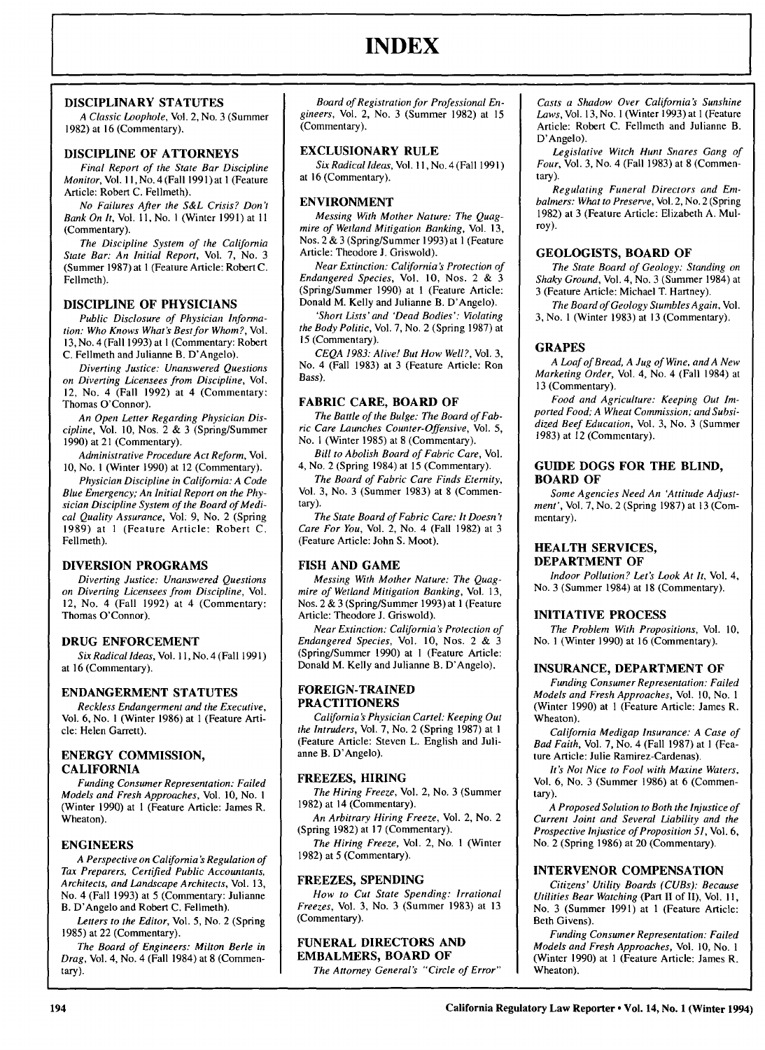# **INDEX**

# **DISCIPLINARY STATUTES**

*A Classic Loophole,* Vol. 2, No. **3** (Summer **1982)** at **16** (Commentary).

# **DISCIPLINE OF ATTORNEYS**

Final *Report* of the State Bar Discipline Monitor, Vol. **11,** No. 4 (Fall **1991)** at **I** (Feature Article: Robert C. Fellmeth).

*No Failures After the S&L Crisis? Don't Bank On It,* Vol. 11, No. **I** (Winter 1991) at **II** (Commentary).

*The Discipline System of the California State Bar: An Initial Report,* Vol. 7, No. 3 (Summer 1987) at 1 (Feature Article: Robert C. Fellmeth).

# **DISCIPLINE OF PHYSICIANS**

*Public Disclosure of Physician Informa*tion: Who Knows What's Best for Whom?, Vol. 13, No. 4 (Fall 1993) at **I** (Commentary: Robert C. Fellmeth and Julianne B. D'Angelo).

*Diverting Justice: Unanswered Questions on Diverting Licensees from Discipline,* Vol. 12, No. 4 (Fall 1992) at 4 (Commentary: Thomas O'Connor).

*An Open Letter Regarding Physician Discipline,* Vol. 10, Nos. 2 & 3 (Spring/Summer 1990) at 21 (Commentary).

*Administrative Procedure Act Reform,* Vol. 10, No. **I** (Winter 1990) at 12 (Commentary).

*Physician Discipline in California: A Code Blue Emergency; An Initial Report on the Physician Discipline System of the Board of Medical Quality Assurance,* Vol. 9, No. 2 (Spring 1989) at **I** (Feature Article: Robert C. Fellmeth).

# **DIVERSION PROGRAMS**

*Diverting Justice: Unanswered Questions on Diverting Licensees from Discipline,* Vol. 12, No. 4 (Fall 1992) at 4 (Commentary: Thomas O'Connor).

#### **DRUG ENFORCEMENT**

*Six Radical Ideas,* Vol. 11, No. 4 (Fall 1991) at 16 (Commentary).

#### **ENDANGERMENT STATUTES**

*Reckless Endangerment and the Executive,* Vol. 6, No. **I** (Winter 1986) at 1 (Feature Article: Helen Garrett).

# **ENERGY COMMISSION, CALIFORNIA**

*Funding Consumer Representation: Failed Models and Fresh Approaches,* Vol. **10,** No. **I** (Winter **1990)** at **I** (Feature Article: James R. Wheaton).

# **ENGINEERS**

*A Perspective on California 's Regulation of Tax Preparers, Certified Public Accountants, Architects, and Landscape Architects,* Vol. 13, No. 4 (Fall 1993) at 5 (Commentary: Julianne B. D'Angelo and Robert C. Fellmeth).

*Letters to the Editor,* Vol. 5, No. 2 (Spring 1985) at 22 (Commentary).

*The Board of Engineers: Milton Berle in Drag,* Vol. 4, No. 4 (Fall 1984) at 8 (Commentary).

*Board of Registration for Professional Engineers,* Vol. 2, No. 3 (Summer 1982) at 15 (Commentary).

# **EXCLUSIONARY RULE**

*Six Radical Ideas,* Vol. 11, No. 4 (Fall 199 **1)** at 16 (Commentary).

# **ENVIRONMENT**

*Messing With Mother Nature: The Quagmire of Wetland Mitigation Banking,* Vol. 13, Nos. 2 & 3 (Spring/Summer 1993) at **I** (Feature Article: Theodore **J.** Griswold).

*Near Extinction: California's Protection of Endangered Species,* Vol. 10, Nos. 2 & 3 (Spring/Summer 1990) at **I** (Feature Article: Donald M. Kelly and Julianne B. D'Angelo).

*'Short Lists' and 'Dead Bodies': Violating the Body Politic,* Vol. 7, No. 2 (Spring 1987) at 15 (Commentary).

*CEQA 1983: Alive! But How Well?,* Vol. 3, No. 4 (Fall 1983) at 3 (Feature Article: Ron Bass).

# **FABRIC CARE, BOARD OF**

*The Battle of the Bulge: The Board of Fabric Care Launches Counter-Offensive,* Vol. 5, No. **I** (Winter **1985)** at **8** (Commentary).

*Bill to Abolish Board of Fabric Care,* Vol. 4, No. 2 (Spring 1984) at **15** (Commentary).

*The Board of Fabric Care Finds Eternity,* Vol. **3,** No. **3** (Summer **1983)** at **8** (Commentary).

*The State Board of Fabric Care: It Doesn't Care For You,* Vol. 2, No. 4 (Fall **1982)** at **3** (Feature Article: John **S.** Moot).

# **FISH AND GAME**

*Messing With Mother Nature: The Quagmire of Wetland Mitigation Banking,* Vol. **13,** Nos. 2 **& 3** (Spring/Summer **1993)** at **1** (Feature Article: Theodore **J.** Griswold).

*Near Extinction: California's Protection of Endangered Species,* Vol. **10,** Nos. 2 **&** 3 (Spring/Summer **1990)** at **I** (Feature Article: Donald M. Kelly and Julianne **B.** D'Angelo).

#### **FOREIGN-TRAINED PRACTITIONERS**

*California 'S Physician Cartel: Keeping Out the Intruders,* Vol. **7,** No. 2 (Spring **1987)** at **I** (Feature Article: Steven L. English and Julianne B. D'Angelo).

# **FREEZES, HIRING**

*The Hiring Freeze,* Vol. 2, No. **3** (Summer **1982)** at 14 (Commentary).

*An Arbitrary Hiring Freeze,* Vol. 2, No. 2 (Spring **1982)** at **17** (Commentary).

*The Hiring Freeze,* Vol. 2, No. **I** (Winter **1982)** at 5 (Commentary).

#### **FREEZES, SPENDING**

*How to Cut State Spending: Irrational Freezes,* Vol. **3,** No. **3** (Summer **1983)** at **13** (Commentary).

# **FUNERAL DIRECTORS AND EMBALMERS, BOARD OF**

*The Attorney General's "Circle of Error"*

*Casts a Shadow Over California 's Sunshine Laws,* Vol. 13, No. **I** (Winter 1993) at 1 (Feature Article: Robert C. Fellmeth and Julianne B. D'Angelo).

*Legislative Witch Hunt Snares Gang of Four,* Vol. 3, No. 4 (Fall 1983) at 8 (Commentary).

*Regulating Funeral Directors and Embalmers: What to Preserve,* Vol. 2, No. 2 (Spring 1982) at 3 (Feature Article: Elizabeth A. Mulroy).

# **GEOLOGISTS, BOARD OF**

*The State Board of Geology: Standing on Shaky Ground,* Vol. 4, No. 3 (Summer 1984) at 3 (Feature Article: Michael T. Hartney).

*The Board of Geology StumblesAgain,* Vol. 3, No. **I** (Winter 1983) at 13 (Commentary).

# **GRAPES**

*A Loaf of Bread, A Jug of Wine, andA New Marketing Order,* Vol. 4, No. 4 (Fall 1984) at 13 (Commentary).

*Food and Agriculture: Keeping Out Imported Food; A Wheat Commission; and Subsidized Beef Education,* Vol. 3, No. 3 (Summer 1983) at 12 (Commentary).

# **GUIDE DOGS FOR THE BLIND, BOARD OF**

*Some Agencies Need An 'Attitude Adjustment',* Vol. **7,** No. 2 (Spring **1987)** at **13** (Commentary).

#### **HEALTH SERVICES, DEPARTMENT OF**

*Indoor Pollution? Let's Look At It,* Vol. 4, No. 3 (Summer 1984) at 18 (Commentary).

# **INITIATIVE PROCESS**

*The Problem With Propositions,* Vol. **10,** No. **I** (Winter 1990) at 16 (Commentary).

# **INSURANCE, DEPARTMENT OF**

*Funding Consumer Representation: Failed Models and Fresh Approaches,* Vol. 10, No. **I** (Winter 1990) at **I** (Feature Article: James R. Wheaton).

*California Medigap Insurance: A Case of Bad Faith,* Vol. 7, No. 4 (Fall 1987) at **I** (Feature Article: Julie Ramirez-Cardenas).

*It's Not Nice to Fool with Maxine Waters,* Vol. 6, No. 3 (Summer 1986) at 6 (Commentary).

*A Proposed Solution to Both the Injustice of Current Joint and Several Liability and the Prospective Injustice of Proposition 51,* Vol. **6,** No. 2 (Spring 1986) at 20 (Commentary).

# **INTERVENOR COMPENSATION**

*Citizens' Utility Boards (CUBs): Because Utilities Bear Watching (Part* II of II), Vol. **11,** No. 3 (Summer 1991) at 1 (Feature Article: Beth Givens).

*Funding Consumer Representation: Failed Models and Fresh Approaches,* Vol. 10, No. **I** (Winter 1990) at 1 (Feature Article: James R. Wheaton).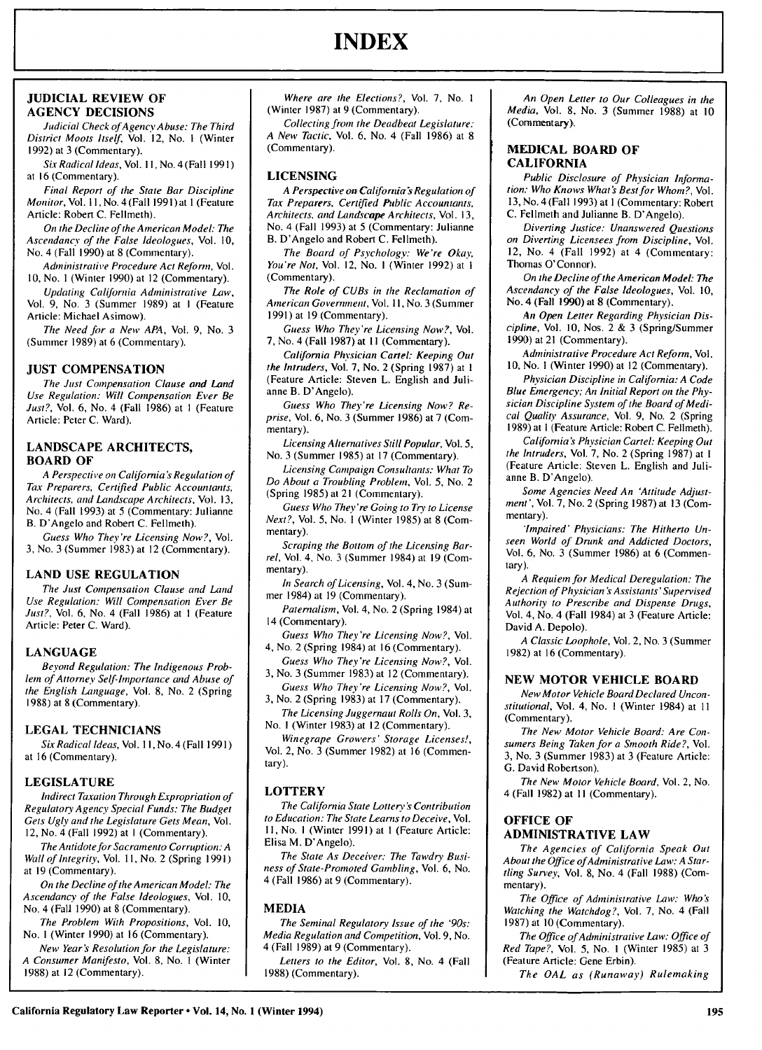# **JUDICIAL REVIEW OF AGENCY DECISIONS**

Judicial Check ofAgency Abuse: The Third *District Moots Itself,* Vol. 12, No. I (Winter 1992) at 3 (Commentary).

Six Radical Ideas, Vol. 11, No. 4 (Fall 1991) at 16 (Commentary).

Final Report of the State Bar Discipline Monitor, Vol. *11,* No.4(Fall 1991)at **I** (Feature Article: Robert C. Fellmeth).

On the Decline of the American Model: The Ascendancy of the False Ideologues, Vol. **10,** No. 4 (Fall 1990) at 8 (Commentary).

*Administrative* Procedure Act Reform, Vol. 10, No. **I** (Winter 1990) at 12 (Commentary).

Updating California Administrative *Law,* Vol. 9, No. 3 (Summer 1989) at I (Feature Article: Michael Asimow).

The Need for a New APA, Vol. 9, No. 3 (Summer 1989) at 6 (Commentary).

#### **JUST COMPENSATION**

The Just Compensation Clause and Land Use Regulation: Will Compensation Ever Be Just?, Vol. 6, No. 4 (Fall 1986) at I (Feature Article: Peter C. Ward).

# **LANDSCAPE** ARCHITECTS, **BOARD OF**

A Perspective on California's Regulation of Tax Preparers, Certified Public Accountants, Architects, and Landscape Architects, Vol. 13, No. 4 (Fall 1993) at 5 (Commentary: Julianne B. D'Angelo and Robert C. Fellmeth).

Guess Who They're Licensing Now?, Vol. 3, No. 3 (Summer 1983) at 12 (Commentary).

# **LAND USE REGULATION**

The Just Compensation Clause and Land Use Regulation: Will Compensation Ever Be Just?, Vol. 6, No. 4 (Fall 1986) at I (Feature Article: Peter C. Ward).

# **LANGUAGE**

Beyond Regulation: The Indigenous Problem of Attorney Self-Importance and Abuse of the English Language, Vol. 8, No. 2 (Spring 1988) at 8 (Commentary).

# **LEGAL TECHNICIANS**

Six Radical Ideas, Vol. **1I,** No. 4 (Fall 199 **1)** at 16 (Commentary).

# **LEGISLATURE**

Indirect Taxation Through Expropriation of Regulatory Agency Special Funds: The Budget Gets Ugly and the Legislature Gets Mean, Vol. 12, No. 4 (Fall 1992) at I (Commentary).

The Antidote for Sacramento Corruption: A Wall of Integrity, Vol. **11,** No. 2 (Spring 1991) at 19 (Commentary).

On the Decline of the American Model: The Ascendancy of the False Ideologues, Vol. **10,** No. 4 (Fall 1990) at 8 (Commentary).

The Problem With Propositions, Vol. 10, No. I (Winter 1990) at 16 (Commentary).

New Year *S* Resolution for the Legislature: A Consumer Manifesto, Vol. **8,** No. I (Winter 1988) at 12 (Commentary).

Where are the Elections?, Vol. 7, No. **I** (Winter 1987) at 9 (Commentary).

Collecting from the Deadbeat Legislature: A New Tactic, Vol. 6, No. 4 (Fall 1986) at 8 (Commentary).

# **LICENSING**

A Perspective on California's Regulation of Tax Preparers, Certified Public Accountants, Architects, *and* Landscape Architects, Vol. 13, No. 4 (Fall 1993) at 5 (Commentary: Julianne B. D'Angelo and Robert C. Fellmeth).

The Board of Psychology: We're Okay, You're Not, Vol. 12, No. 1 (Winter 1992) at 1 (Commentary).

The Role of CUBs in the Reclamation of American Government, Vol. **11,** No. 3 (Summer 1991) at 19 (Commentary).

Guess Who They're Licensing Now?, Vol. 7, No. 4 (Fall 1987) at **II** (Commentary).

*California* Physician Cartel: Keeping Out the Intruders, Vol. 7, No. 2 (Spring 1987) at **I** (Feature Article: Steven L. English and Julianne B. D'Angelo).

Guess Who They're Licensing Now? Reprise, Vol. 6, No. 3 (Summer 1986) at 7 (Commentary).

Licensing Alternatives Still Popular, Vol. 5, No. 3 (Summer 1985) at 17 (Commentary).

Licensing Campaign Consultants: What To Do About a Troubling Problem, Vol. 5, No. 2 (Spring 1985) at 21 (Commentary).

Guess Who They're Going to Try to License Next?, Vol. 5, No. I (Winter 1985) at 8 (Commentary).

Scraping the Bottom of the Licensing Barrel, Vol. 4, No. 3 (Summer 1984) at 19 (Commentary).

In Search of Licensing, Vol. 4, No. 3 (Summer 1984) at 19 (Commentary).

Paternalism, Vol. 4, No. 2 (Spring 1984) at 14 (Commentary).

Guess Who They're Licensing Now?, Vol. 4, No. 2 (Spring 1984) at 16 (Commentary).

Guess Who They're Licensing Now?, Vol. 3, No. 3 (Summer 1983) at 12 (Commentary).

Guess Who They're Licensing Now?, Vol.

3, No. 2 (Spring 1983) at 17 (Commentary). The Licensing Juggernaut Rolls On, Vol. 3, No. I (Winter 1983) at 12 (Commentary).

Winegrape Growers' Storage Licenses!, Vol. 2, No. 3 (Summer 1982) at 16 (Commentary).

# **LOTTERY**

The California State Lottery *'s* Contribution to Education: The State Learns to Deceive, Vol. **I1,** No. I (Winter 1991) at I (Feature Article: Elisa M. D'Angelo).

The State As Deceiver: The Tawdry Business of State-Promoted Gambling, Vol. 6, No. 4 (Fall 1986) at 9 (Commentary).

# **MEDIA**

The Seminal Regulatory Issue of the '90s: Media Regulation and Competition, Vol. 9, No. 4 (Fall 1989) at 9 (Commentary).

Letters to the Editor, Vol. 8, No. 4 (Fall 1988) (Commentary).

An Open Letter to Our Colleagues in the Media, Vol. 8, No. 3 (Summer 1988) at 10 (Commentary).

# **MEDICAL BOARD OF CALIFORNIA**

Public Disclosure of Physician *Informa*tion: Who Knows What's Best for Whom?, Vol. 13, No. 4 (Fall 1993) at **I** (Commentary: Robert C. Fellmeth and Julianne B. D'Angelo).

Diverting Justice: Unanswered Questions on Diverting Licensees from Discipline, Vol. 12, No. 4 (Fall 1992) at 4 (Commentary: Thomas O'Connor).

On the Decline of the American Model: The Ascendancy of the False *Ideologues,* Vol. 10, No. 4 (Fall 1990) at 8 (Commentary).

An Open Letter Regarding Physician Discipline, Vol. 10, Nos. 2 & 3 (Spring/Summer 1990) at 21 (Commentary).

Administrative Procedure Act Reform, Vol. 10, No. I (Winter 1990) at 12 (Commentary).

Physician Discipline in California: A Code Blue *Emergency;* An Initial Report on the Physician Discipline System of the Board of Medical Quality Assurance, Vol. 9, No. 2 (Spring 1989) at **I** (Feature Article: Robert C. Fellmeth).

*California* 's Physician Cartel: Keeping Out the Intruders, Vol. 7, No. 2 (Spring 1987) at **I** (Feature Article: Steven L. English and Julianne B. D'Angelo).

Some Agencies Need An 'Attitude Adjust*ment'*, Vol. 7, No. 2 (Spring 1987) at 13 (Commentary).

'Impaired' Physicians: The Hitherto Unseen World of Drunk and Addicted Doctors, Vol. 6, No. 3 (Summer 1986) at 6 (Commentary).

A Requiem for Medical Deregulation: The Rejection of Physician *'s* Assistants'Supervised *Authority* to Prescribe and Dispense Drugs, Vol. 4, No. 4 (Fall 1984) at 3 (Feature Article: David A. Depolo).

A Classic Loophole, Vol. 2, No. 3 (Summer 1982) at 16 (Commentary).

#### **NEW** MOTOR **VEHICLE** BOARD

New Motor Vehicle Board Declared Unconstitutional, Vol. 4, No. I (Winter 1984) at **II** (Commentary).

The New Motor Vehicle Board: Are Consumers Being Taken for a Smooth Ride?, Vol. 3, No. 3 (Summer 1983) at 3 (Feature Article: **G.** David Robertson).

The New Motor Vehicle Board, Vol. 2, No. 4 (Fall 1982) at II (Commentary).

# **OFFICE** OF

# **ADMINISTRATIVE LAW**

The Agencies of California Speak Out About the Office of Administrative Law: A Startling Survey, Vol. 8, No. 4 (Fall 1988) (Commentary).

The Office of *Administrative* Law: Who's Watching the Watchdog?, Vol. 7, No. 4 (Fall 1987) at 10 (Commentary).

The Office of Administrative Law: Office of Red Tape?, Vol. 5, No. **I** (Winter 1985) at 3 (Feature Article: Gene Erbin).

The OAL as (Runaway) Rulemaking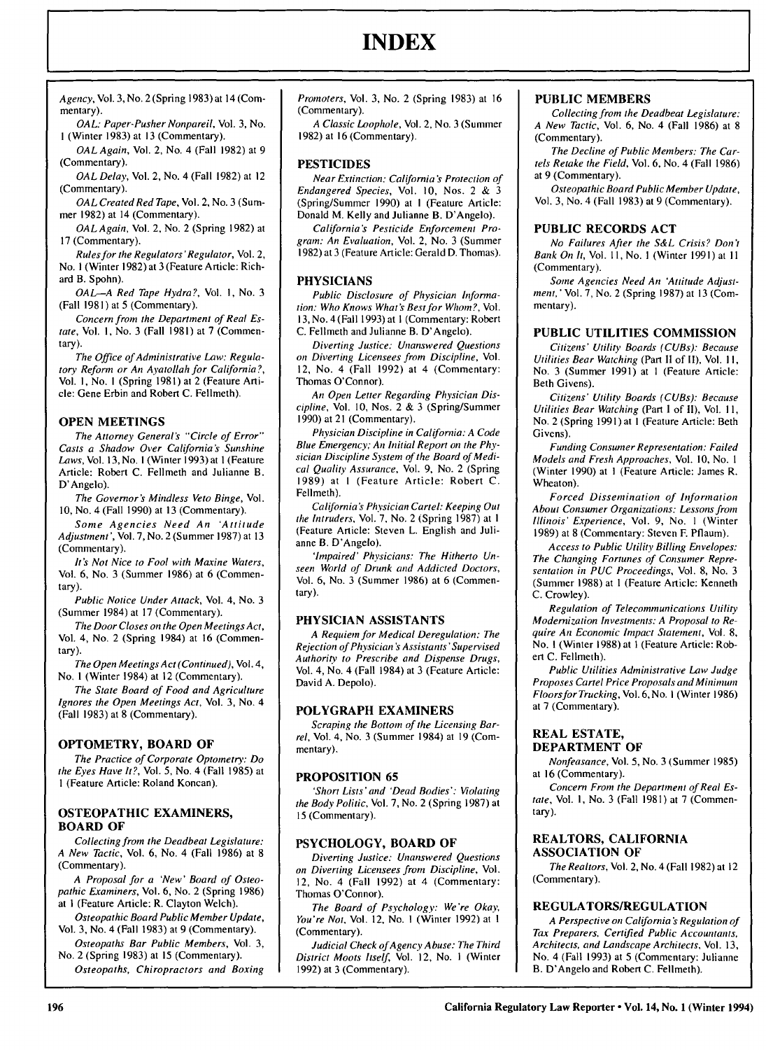# **INDEX**

*Agency,* Vol. 3, No. 2 (Spring 1983) at 14 (Commentary).

*OAL: Paper-Pusher Nonpareil,* Vol. 3, No. **I** (Winter 1983) at 13 (Commentary).

*OAL Again,* Vol. 2, No. 4 (Fall 1982) at 9 (Commentary).

*OAL* Delay, Vol. 2, No. 4 (Fall 1982) at 12 (Commentary).

*OAL CreatedRed Tape,* Vol. 2, No. 3 (Summer 1982) at 14 (Commentary).

*OAL Again,* Vol. 2, No. 2 (Spring 1982) at 17 (Commentary).

Rules for the Regulators *'Regulator,* Vol. 2, No. I (Winter 1982) at **3** (Feature Article: Richard B. Spohn).

*OAL-A* Red *Tape Hydra?,* Vol. **1,** No. 3 (Fall 1981) at 5 (Commentary).

Concern from the Department of Real Es*tate,* Vol. **1,** No. 3 (Fall 1981) at 7 (Commentary).

The Office of Administrative Law: Regulatory Reform or An Ayatollah for California *?,* Vol. I, No. **I** (Spring 1981) at 2 (Feature *Arti*cle: Gene Erbin and Robert C. Fellmeth).

#### **OPEN MEETINGS**

The Attorney General's "Circle of Error" Casts a Shadow Over California's Sunshine Laws, Vol. 13, No. **I** (Winter 1993) at **I** (Feature Article: Robert C. Fellmeth and Julianne B. D'Angelo).

The Governor's Mindless Veto Binge, Vol. 10, No. 4 (Fall 1990) at 13 (Commentary).

Some Agencies Need An 'Attitude Adjustment', Vol. 7, No. 2 (Summer 1987) at 13 (Commentary).

It's Not Nice to Fool with Maxine Waters, Vol. 6, No. 3 (Summer 1986) at 6 (Commentary).

Public Notice Under Attack, Vol. 4, No. **3** (Summer 1984) at 17 (Commentary).

The Door Closes on the Open Meetings Act, Vol. 4, No. 2 (Spring 1984) at 16 (Commentary).

The Open Meetings Act (Continued), Vol. 4, No. I (Winter 1984) at 12 (Commentary).

The State Board of Food and Agriculture Ignores the Open Meetings Act, Vol. **3,** No. 4 (Fall 1983) at 8 (Commentary).

# **OPTOMETRY, BOARD OF**

The Practice of Corporate Optometry: Do the Eyes Have *It?,* Vol. 5, No. 4 (Fall 1985) at **I** (Feature Article: Roland Koncan).

# **OSTEOPATHIC** EXAMINERS, **BOARD OF**

Collecting from the Deadbeat Legislature: *A* New Tactic, Vol. **6,** No. 4 (Fall 1986) at 8 (Commentary).

A Proposal for a 'New' Board of Osteopathic Examiners, Vol. 6, No. 2 (Spring 1986) at I (Feature Article: R. Clayton Welch).

Osteopathic Board Public Member Update, Vol. 3, No. 4 (Fall 1983) at 9 (Commentary).

Osteopaths Bar Public Members, Vol. 3, No. 2 (Spring 1983) at 15 (Commentary).

Osteopaths, Chiropractors and Boxing

Promoters, Vol. 3, No. 2 (Spring 1983) at 16 (Commentary).

*A* Classic Loophole, Vol. 2, No. 3 (Summer 1982) at 16 (Commentary).

# **PESTICIDES**

Near Extinction: California's Protection of *Endangered* Species, Vol. 10, Nos. 2 & 3 (Spring/Summer 1990) at **I** (Feature Article: Donald M. Kelly and Julianne B. D'Angelo).

California's Pesticide Enforcement Program: An Evaluation, Vol. 2, No. 3 (Summer 1982) at 3 (Feature Article: Gerald D. Thomas).

# **PHYSICIANS**

Public Disclosure of Physician *Informa*tion: Who Knows What's Best for Whom?, Vol. 13, No. 4 (Fall 1993) at I (Commentary: Robert C. Fellmeth and Julianne B. D'Angelo).

Diverting Justice: Unanswered Questions *on* Diverting Licensees from Discipline, Vol. 12, No. 4 (Fall 1992) at 4 (Commentary: Thomas O'Connor).

*Ai* Open Letter Regarding Physician Discipline, Vol. 10, Nos. 2 & 3 (Spring/Summer 1990) at 21 (Commentary).

Physician Discipline in California: A Code Blue Emergency; An Initial Report on the Physician Discipline System of the Board of Medical Quality Assurance, Vol. 9, No. 2 (Spring 1989) at I (Feature Article: Robert C. Fellmeth).

California's Physician Cartel: Keeping Out the Intruders, Vol. **7,** No. 2 (Spring 1987) at **I** (Feature Article: Steven L. English and Julianne B. D'Angelo).

'Impaired' Physicians: The Hitherto Unseen World of Drunk and Addicted Doctors, Vol. 6, No. 3 (Summer 1986) at 6 (Commentary).

#### **PHYSICIAN ASSISTANTS**

A Requiem for Medical Deregulation: The Rejection of Physician's Assistants'Supervised Authority to Prescribe and Dispense Drugs, Vol. 4, No. 4 (Fall 1984) at 3 (Feature Article: David A. Depolo).

#### **POLYGRAPH EXAMINERS**

Scraping the Bottom of the Licensing Barrel, Vol. 4, No. 3 (Summer 1984) at 19 (Commentary).

#### **PROPOSITION 65**

'Short Lists'and 'Dead Bodies': Violating the Body Politic, Vol. 7, No. 2 (Spring 1987) at **15** (Commentary).

# **PSYCHOLOGY, BOARD OF**

Diverting Justice: Unanswered Questions on Diverting Licensees from Discipline, Vol. 12, No. 4 (Fall 1992) at 4 (Commentary: Thomas O'Connor).

The Board of Psychology: We're Okay, You're Not, Vol. 12, No. I (Winter 1992) at I (Commentary).

Judicial Check of Agency Abuse: The Third District Moots Itself, Vol. 12, No. I (Winter 1992) at 3 (Commentary).

# **PUBLIC MEMBERS**

Collecting from the Deadbeat Legislature: A New Tactic, Vol. **6,** No. 4 (Fall **1986)** at **8** (Commentary).

The Decline of Public Members: The Cartels Retake the Field, Vol. **6,** No. 4 (Fall **1986)** at **9** (Commentary).

Osteopathic Board Public Member Update, Vol. **3,** No. 4 (Fall **1983)** at **9** (Commentary).

# **PUBLIC RECORDS ACT**

No Failures After the **S&L** Crisis? Don't Bank On It, Vol. **11,** No. **I** (Winter **1991)** at **I I** (Commentary).

Some Agencies Need An 'Attitude Adjust*ment,'Vol.* **7,** No. 2 (Spring **1987)** at **13** (Commentary).

# **PUBLIC UTILITIES COMMISSION**

Citizens' Utility Boards (CUBs): Because Utilities Bear Watching (Part **11** of II), Vol. II, No. 3 (Summer 1991) at **I** (Feature Article: Beth Givens).

Citizens' Utility Boards (CUBs): Because Utilities Bear Watching (Part **I** of II), Vol. **11,** No. 2 (Spring 1991) at 1 (Feature Article: Beth Givens).

Funding Consumer Representation: Failed Models and Fresh Approaches, Vol. 10, No. **I** (Winter 1990) at I (Feature Article: James R. Wheaton).

Forced Dissemination of Information About Consumer Organizations: Lessons from Illinois' Experience, Vol. **9,** No. **I** (Winter **1989)** at **8** (Commentary: Steven F. Pflaum).

Access to Public Utility Billing Envelopes: The Changing Fortunes of Consumer Representation in PUC Proceedings, Vol. 8, No. 3 (Summer 1988) at **I** (Feature Article: Kenneth C. Crowley).

Regulation of Telecommunications Utility Modernization Investments: A Proposal to Require An Economic Impact Statement, Vol. 8, No. I (Winter 1988) at I (Feature Article: Rob*ert* C. Fellmeth).

Public Utilities Administrative Law Judge Proposes Cartel Price Proposals and Minimum FloorsforTrucking, Vol. 6,No. I (Winter 1986) at 7 (Commentary).

# REAL **ESTATE, DEPARTMENT OF**

*Nonfeasance,* Vol. 5, No. 3 (Summer 1985) at 16 (Commentary).

Concern From the Department of Real Estate, Vol. **1,** No. 3 (Fall 1981) at 7 (Commentary).

# REALTORS, **CALIFORNIA ASSOCIATION** OF

*The* Realtors, Vol. 2, No. 4 (Fall 1982) at 12 (Commentary).

#### **REGULATORS/REGULATION**

*A* Perspective on California's Regulation of Tax Preparers, Certified Public Accountants, Architects, and Landscape Architects, Vol. 13, No. 4 (Fall 1993) at 5 (Commentary: Julianne B. D'Angelo and Robert C. Fellmeth).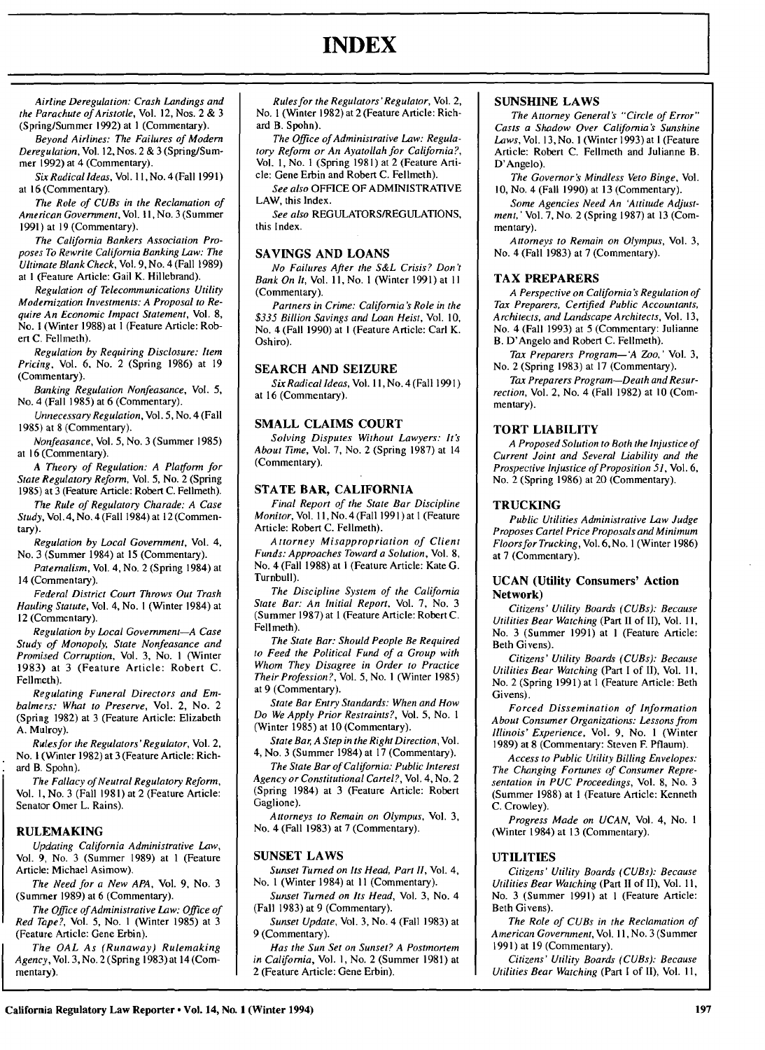Airline Deregulation: Crash Landings and the Parachute of Aristotle, Vol. 12, Nos. 2 & 3 (Spring/Summer 1992) at **I** (Commentary).

Beyond Airlines: The Failures of Modern Deregulation, Vol. 12, Nos. 2 & 3 (Spring/Summer 1992) at 4 (Commentary).

Six Radical Ideas, Vol. **11,** No.4 (Fall 1991) at 16 (Commentary).

The Role of CUBs in the Reclamation of American Government, Vol. **11,** No. 3 (Summer 1991) at 19 (Commentary).

The California Bankers Association Proposes To Rewrite California Banking Law: The Ultimate Blank Check, Vol. 9, No. 4 (Fall 1989) at **I** (Feature Article: Gail K. Hillebrand).

Regulation of Telecommunications Utility Modernization Investments: A Proposal to Require An Economic Impact Statement, Vol. 8, No. **I** (Winter 1988) at **I** (Feature Article: Robert C. Fellmeth).

Regulation **by** Requiring Disclosure: Item Pricing, Vol. **6,** No. 2 (Spring **1986)** at **19** (Commentary).

Banking Regulation Nonfeasance, Vol. **5,** No. 4 (Fall **1985)** at **6** (Commentary).

Unnecessary Regulation, Vol. **5,** No. 4 (Fall **1985)** at **8** (Commentary).

Nonfeasance, Vol. **5,** No. **3** (Summer **1985)** at **16** (Commentary).

A Theory of Regulation: A Plaiform for State Regulatory Reform, Vol. **5,** No. 2 (Spring **1985)** at **3** (Feature Article: Robert **C.** Fellmeth).

The Rule of Regulatory Charade: A Case Study, Vol.4, No. 4 (Fall 1984) at 12 (Commentary).

Regulation **by** Local Government, Vol. 4, No. 3 (Summer 1984) at 15 (Commentary).

Paternalism, Vol. 4, No. 2 (Spring 1984) at 14 (Commentary).

Federal District Court Throws Out Trash Hauling Statute, Vol. 4, No. **I** (Winter 1984) at 12 (Commentary).

Regulation **by** Local Government-A Case Study of Monopoly, State Nonfeasance and Promised Corruption, Vol. 3, No. **I** (Winter 1983) at 3 (Feature Article: Robert C. Fellmeth).

Regulating Funeral Directors and Embalmers: What to Preserve, Vol. 2, No. 2 (Spring 1982) at 3 (Feature Article: Elizabeth A. Mulroy).

Rulesfor the Regulators'Regulator, Vol. 2, No. 1 (Winter 1982) at 3 (Feature Article: Richard B. Spohn).

The Fallacy of Neutral Regulatory Reform, Vol. **1,** No. 3 (Fall 1981) at 2 (Feature Article: Senator Omer L. Rains).

# **RULEMAKING**

Updating California Administrative Law, Vol. 9, No. 3 (Summer 1989) at 1 (Feature Article: Michael Asimow),

The Need for a New APA, Vol. 9, No. 3 (Summer 1989) at 6 (Commentary).

The Office of Administrative Law: Office of Red Tape?, Vol. 5, No. **I** (Winter 1985) at 3 (Feature Article: Gene Erbin).

The *OAL* As (Runaway) Rulemaking Agency, Vol. 3, No. 2 (Spring 1983) at 14 (Commentary).

Rules for the Regulators'Regulator, Vol. 2, No. **I** (Winter **1982)** at 2 (Feature Article: Richard B. Spohn).

The Office of Administrative Law: Regulatory Reform or An Ayatollah for California?, Vol. 1, No. **I** (Spring 1981) at 2 (Feature Article: Gene Erbin and Robert C. Fellmeth).

See also OFFICE OF ADMINISTRATIVE LAW, this Index.

See also REGULATORS/REGULATIONS, this Index.

# **SAVINGS AND LOANS**

No Failures After the S&L Crisis? Don't Bank On It, Vol. **11,** No. **I** (Winter 1991) at **II** (Commentary).

Partners in Crime: California's Role in the \$335 Billion Savings and Loan Heist, Vol. 10, No. 4 (Fall 1990) at **I** (Feature Article: Carl K. Oshiro).

#### **SEARCH AND SEIZURE**

Six Radical Ideas, Vol. **11,** No. **4** (Fall **1991)** at **16** (Commentary).

# **SMALL CLAIMS COURT**

Solving Disputes Without Lawyers: It's About Time, Vol. **7,** No. 2 (Spring **1987)** at 14 (Commentary).

#### **STATE BAR, CALIFORNIA**

Final Report of the State Bar Discipline Monitor, Vol. **11,** No. 4 (Fall 1991) at I (Feature Article: Robert C. Fellmeth).

Attorney Misappropriation of Client Funds: Approaches Toward a Solution, Vol. 8, No. 4 (Fall 1988) at **I** (Feature Article: Kate G. Turnbull).

The Discipline System of the California State Bar: An Initial Report, Vol. 7, No. 3 (Summer 1987) at 1 (Feature Article: Robert C. Fellmeth).

The State Bar: Should People Be Required to Feed the Political Fund of a Group with Whom They Disagree in Order to Practice Their *Profession?,* Vol. 5, No. **I** (Winter 1985) at 9 (Commentary).

State Bar Entry Standards: When and How Do We Apply Prior Restraints?, Vol. 5, No. **I** (Winter 1985) at 10 (Commentary).

State Bar, A Step in the Right Direction, Vol. 4, No. 3 (Summer 1984) at 17 (Commentary).

The State Bar of California: Public Interest Agency or Constitutional Cartel?, Vol. 4, No. 2 (Spring 1984) at 3 (Feature Article: Robert Gaglione).

Attorneys to Remain on Olympus, Vol. 3, No. 4 (Fall 1983) at 7 (Commentary).

#### **SUNSET** LAWS

Sunset Turned on Its Head, Part II, Vol. 4, No. **I** (Winter 1984) at **II** (Commentary).

Sunset Turned on Its Head, Vol. 3, No. 4 (Fall 1983) at 9 (Commentary).

Sunset Update, Vol. 3, No. 4 (Fall 1983) at 9 (Commentary).

Has the Sun Set on Sunset? A Postmortem in California, Vol. 1, No. 2 (Summer 1981) at 2 (Feature Article: Gene Erbin).

#### **SUNSHINE LAWS**

The Attorney Generals *"'Circle* of Error" Casts a Shadow Over California's Sunshine Laws, Vol. 13,No. **I** (Winter **1993)** at **I** (Feature Article: Robert **C.** Fellmeth and Julianne B. D'Angelo).

The Governor's Mindless Veto Binge, Vol. **10,** No. 4 (Fall **1990)** at **13** (Commentary).

Some Agencies Need An 'Attitude Adjustment,' Vol. **7,** No. 2 (Spring **1987)** at **13** (Commentary).

Attorneys to Remain on Olympus, Vol. **3,** No. 4 (Fall **1983)** at **7** (Commentary).

#### **TAX PREPARERS**

A Perspective on California's Regulation of Tax Preparers, Certified Public Accountants, Architects, and Landscape Architects, Vol. **13,** No. 4 (Fall **1993)** at 5 (Commentary: Julianne B. D'Angelo and Robert **C.** Fellmeth).

Tax Preparers Program-'A Zoo,' Vol. **3,** No. 2 (Spring **1983)** at **17** (Commentary).

Tax Preparers Program-Death and Resurrection, Vol. 2, No. 4 (Fall **1982)** at **10** (Commentary).

#### **TORT LIABILITY**

A Proposed Solution to Both the Injustice of Current Joint and Several Liability and the Prospective Injustice of *Proposition* **51,** Vol. 6, No. 2 (Spring **1986)** at 20 (Commentary).

#### **TRUCKING**

Public Utilities Administrative Law Judge Proposes Cartel Price Proposals and Minimum Floors for Trucking, Vol. **6,** No. **I** (Winter **1986)** at 7 (Commentary).

#### **UCAN (Utility Consumers' Action Network)**

Citizens' Utility Boards (CUBs): Because Utilities Bear Watching (Part II of II), Vol. **11,** No. 3 (Summer 1991) at **I** (Feature Article: Beth Givens).

Citizens' Utility Boards (CUBs): Because Utilities Bear Watching (Part I of II), Vol. 11, No. 2 (Spring 1991) at 1 (Feature Article: Beth Givens).

Forced Dissemination of Information About Consumer Organizations: Lessons from Illinois' Experience, Vol. 9, No. I (Winter 1989) at 8 (Commentary: Steven F. Pflaum).

Access to Public Utility Billing Envelopes: The Changing Fortunes of Consumer Representation in PUC Proceedings, Vol. 8, No. 3 (Summer 1988) at **I** (Feature Article: Kenneth C. Crowley).

Progress Made on UCAN, Vol. 4, No. **I** (Winter 1984) at 13 (Commentary).

#### UTILITIES

Citizens' Utility Boards (CUBs): Because Utilities Bear Watching (Part II of II), Vol. 11, No. 3 (Summer 1991) at **I** (Feature Article: Beth Givens).

The Role of CUBs in the Reclamation of American Government, Vol. **11,** No. 3 (Summer 1991) at 19 (Commentary).

Citizens' Utility Boards (CUBs): Because Utilities Bear Watching (Part **I** of II), Vol. 11,

# **INDEX**